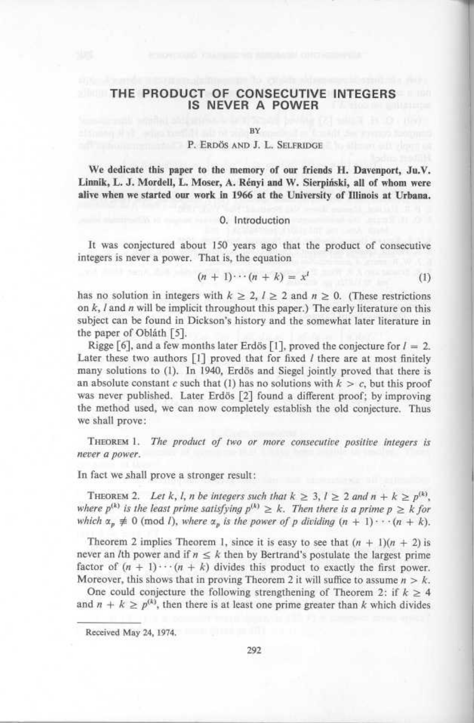# THE PRODUCT OF CONSECUTIVE INTEGERS IS NEVER A POWER

BY

#### P. ERDÖS AND J. L. SELFRIDGE

We dedicate this paper to the memory of our friends H. Davenport, Ju.V. Linnik, L. J. Mordell, L. Moser, A. Rényi and W. Sierpiński, all of whom were alive when we started our work in 1966 at the University of Illinois at Urbana.

## 0. Introduction

It was conjectured about 150 years ago that the product of consecutive integers is never a power. That is, the equation

$$
(n+1)\cdots(n+k) = x^l \tag{1}
$$

has no solution in integers with  $k \ge 2$ ,  $l \ge 2$  and  $n \ge 0$ . (These restrictions on  $k$ ,  $l$  and  $n$  will be implicit throughout this paper.) The early literature on this subject can be found in Dickson's history and the somewhat later literature in the paper of Obláth [5].

Rigge [6], and a few months later Erdös [1], proved the conjecture for  $l = 2$ . Later these two authors  $\begin{bmatrix} 1 \end{bmatrix}$  proved that for fixed *l* there are at most finitely many solutions to (1). In 1940, Erdös and Siegel jointly proved that there is an absolute constant c such that (1) has no solutions with  $k > c$ , but this proof was never published. Later Erdös [2] found a different proof; by improving the method used, we can now completely establish the old conjecture. Thus we shall prove:

THEOREM 1. The product of two or more consecutive positive integers is never a power.

### In fact we shall prove a stronger result :

THEOREM 2. Let k, l, n be integers such that  $k \geq 3$ ,  $l \geq 2$  and  $n + k \geq p^{(k)}$ , where  $p^{(k)}$  is the least prime satisfying  $p^{(k)} \ge k$ . Then there is a prime  $p \ge k$  for which  $\alpha_p \neq 0$  (mod *l*), where  $\alpha_p$  is the power of p dividing  $(n + 1) \cdots (n + k)$ .

Theorem 2 implies Theorem 1, since it is easy to see that  $(n + 1)(n + 2)$  is never an *l*th power and if  $n \leq k$  then by Bertrand's postulate the largest prime factor of  $(n + 1) \cdots (n + k)$  divides this product to exactly the first power. Moreover, this shows that in proving Theorem 2 it will suffice to assume  $n > k$ .

One could conjecture the following strengthening of Theorem 2: if  $k \geq 4$ and  $n + k \geq p^{\alpha}$ , then there is at least one prime greater than k which divides

Received May 24, 1974.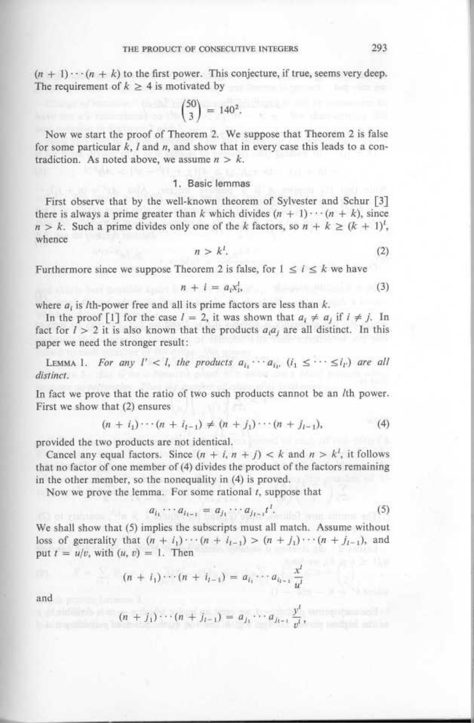$(n + 1) \cdots (n + k)$  to the first power. This conjecture, if true, seems very deep. The requirement of  $k \geq 4$  is motivated by 1

$$
\binom{50}{3} = 140^2.
$$

Now we start the proof of Theorem 2 . We suppose that Theorem 2 is false for some particular  $k$ ,  $l$  and  $n$ , and show that in every case this leads to a contradiction. As noted above, we assume  $n > k$ .

## <sup>1</sup> . Basic lemmas

First observe that by the well-known theorem of Sylvester and Schur [3] there is always a prime greater than k which divides  $(n + 1) \cdots (n + k)$ , since  $n > k$ . Such a prime divides only one of the k factors, so  $n + k \geq (k + 1)^l$ , whence

$$
n > k1.
$$
 (2)

Furthermore since we suppose Theorem 2 is false, for  $1 \le i \le k$  we have

$$
n + i = a_i x_1^i, \tag{3}
$$

where  $a_i$  is *l*th-power free and all its prime factors are less than  $k$ .

In the proof [1] for the case  $l = 2$ , it was shown that  $a_i \neq a_j$  if  $i \neq j$ . In fact for  $l > 2$  it is also known that the products  $a_i a_j$  are all distinct. In this paper we need the stronger result

**LEMMA 1.** For any  $1' < 1$ , the products  $a_{i_1} \cdots a_{i_l}$ ,  $(i_1 \leq \cdots \leq i_{l'})$  are all distinct.

In fact we prove that the ratio of two such products cannot be an *l*th power. First we show that (2) ensures

$$
(n + i1) \cdots (n + if-1) \neq (n + j1) \cdots (n + jf-1),
$$
 (4)

provided the two products are not identical.

Cancel any equal factors. Since  $(n + i, n + j) < k$  and  $n > k<sup>i</sup>$ , it follows that no factor of one member of (4) divides the product of the factors remaining in the other member, so the nonequality in  $(4)$  is proved.

Now we prove the lemma. For some rational  $t$ , suppose that

$$
a_{i_1}\cdots a_{i_{k-1}} = a_{j_1}\cdots a_{j_{k-1}}t^l. \tag{5}
$$

We shall show that (5) implies the subscripts must all match. Assume without loss of generality that  $(n + i_1) \cdots (n + i_{t-1}) > (n + j_1) \cdots (n + j_{t-1})$ , and put  $t = u/v$ , with  $(u, v) = 1$ . Then

$$
(n + i_1) \cdots (n + i_{l-1}) = a_{i_1} \cdots a_{i_{l-1}} \frac{x^l}{u^l}
$$

and

$$
(n + j_1) \cdots (n + j_{l-1}) = a_{j_1} \cdots a_{j_{l-1}} \frac{y^i}{v^l},
$$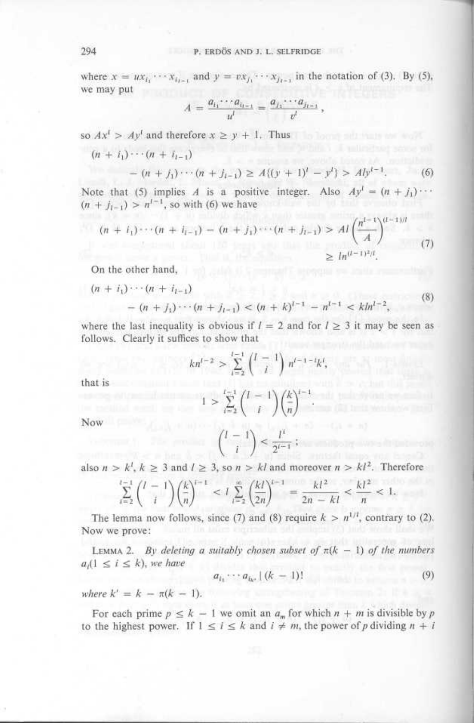where  $x = ux_{i_1} \cdots x_{i_{l-1}}$  and  $y = vx_{j_1}$ 294 **P.** ERDÖS AND J. L. SELFRIDGE<br>where  $x = ux_{i_1} \cdots x_{i_{l-1}}$  and  $y = vx_{j_1} \cdots x_{j_{l-1}}$  in the notation of (3). By (5), we may put 294<br>where  $x = ux_{i_1} \cdots x_{i_{l-1}}$ <br>we may put<br> $A$ <br>so  $Ax^l > Ay^l$  and therefore  $(n + i_1) \cdots (n + i_{l-1})$ 

$$
A = \frac{a_{i_1} \cdots a_{i_{l-1}}}{u^l} = \frac{a_{j_1} \cdots a_{j_{l-1}}}{v^l},
$$

so  $Ax^1 > Ay^1$  and therefore  $x \ge y + 1$ . Thus

$$
(n + i1) \cdots (n + il-1)
$$
  
- (n + j<sub>1</sub>) \cdots (n + j<sub>l-1</sub>) \ge A\{(y + 1)<sup>l</sup> - y<sup>l</sup>\} > A\{y<sup>l-1</sup>. (6)

Note that (5) implies A is a positive integer. Also  $Ay^t = (n + j_1) \cdots$  $(n + j_{i-1}) > n^{i-1}$ , so with (6) we have

$$
u^{l} \qquad v^{l}
$$
\nso  $Ax^{l} > Ay^{l}$  and therefore  $x \geq y + 1$ . Thus\n
$$
(n + i_{1}) \cdots (n + i_{l-1})
$$
\n
$$
= (n + j_{1}) \cdots (n + j_{l-1}) \geq A \{(y + 1)^{l} - y^{l}\} > Aly^{l-1},
$$
\n(6)\nNote that (5) implies *A* is a positive integer. Also  $Ay^{l} = (n + j_{1}) \cdots$ \n
$$
(n + j_{l-1}) > n^{l-1},
$$
 so with (6) we have\n
$$
(n + i_{1}) \cdots (n + i_{l-1}) - (n + j_{1}) \cdots (n + j_{l-1}) > A l \left(\frac{n^{l-1}}{A}\right)^{(l-1)l} \geq ln^{(l-1)^{2}l}.
$$
\nOn the other hand,\n
$$
(n + i_{1}) \cdots (n + i_{l-1})
$$
\n(8)

On the other hand,

$$
(n + i1) \cdots (n + il-1)
$$
  
- (n + j<sub>1</sub>) \cdots (n + j<sub>l-1</sub>) < (n + k)<sup>l-1</sup> - n<sup>l-1</sup> < kln<sup>l-2</sup>, (8)

where the last inequality is obvious if  $l = 2$  and for  $l \geq 3$  it may be seen as follows. Clearly it suffices to show that

$$
kn^{l-2} > \sum_{i=2}^{l-1} {l-1 \choose i} n^{l-1-i}k^i,
$$

that is

$$
1 > \sum_{i=2}^{l-1} {l-1 \choose i} \left(\frac{k}{n}\right)^{l-1}
$$

Now

$$
\binom{l-1}{i} < \frac{l^i}{2^{i-1}};
$$

also  $n > k^l$ ,  $k \geq 3$  and  $l \geq 3$ , so  $n > kl$  and moreover  $n > kl^2$ . Therefore

$$
\sum_{i=2}^{l-1} {l-1 \choose i} \left(\frac{k}{n}\right)^{i-1} < I \sum_{i=2}^{\infty} \left(\frac{kl}{2n}\right)^{i-1} = \frac{kl^2}{2n - kl} < \frac{kl^2}{n} < 1.
$$

The lemma now follows, since (1) and (8) require  $k > n^{1/2}$ , contrary to (2). Now we prove :

LEMMA 2. By deleting a suitably chosen subset of  $\pi(k-1)$  of the numbers  $a_i(1 \leq i \leq k)$ , we have

 $a_{i_1}\cdots a_{i_{k'}}\, (k-1)!$ (9)

where  $k' = k - \pi(k - 1)$ .

For each prime  $p \le k - 1$  we omit an  $a_m$  for which  $n + m$  is divisible by p to the highest power. If  $1 \le i \le k$  and  $i \ne m$ , the power of p dividing  $n + i$ 

294  $\begin{array}{c}\n 294\n \end{array}$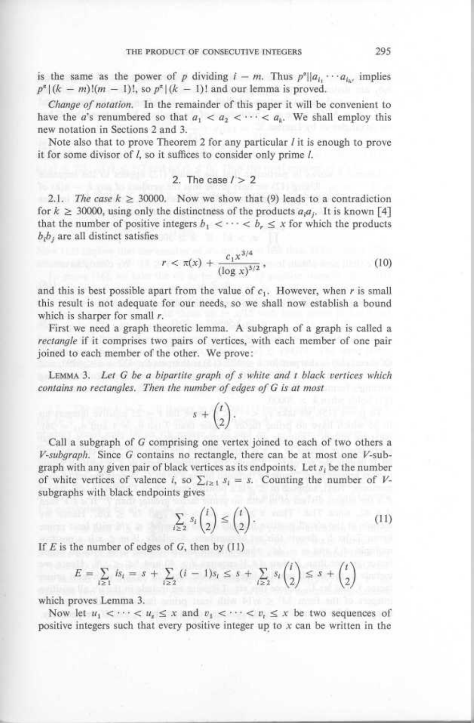is the same as the power of p dividing  $i - m$ . Thus  $p^*||a_{i_1} \cdots a_{i_{k'}}$  implies  $p^{\alpha}$  |  $(k - m)!(m - 1)!$ , so  $p^{\alpha}|(k - 1)!$  and our lemma is proved. THE PRODUCT OF<br>
is the same as the power of p d<br>  $p^{\alpha} | (k - m)!(m - 1)!$ , so  $p^{\alpha} | (k - 1)!$ <br> *Change of notation*. In the remains

Change of notation. In the remainder of this paper it will be convenient to have the a's renumbered so that  $a_1 < a_2 < \cdots < a_k$ . We shall employ this new notation in Sections 2 and 3.

Note also that to prove Theorem 2 for any particular  *it is enough to prove* it for some divisor of  $l$ , so it suffices to consider only prime  $l$ .

# 2. The case  $l > 2$

2.1. The case  $k \geq 30000$ . Now we show that (9) leads to a contradiction for  $k \geq 30000$ , using only the distinctness of the products  $a_i a_j$ . It is known [4] that the number of positive integers  $b_1 < \cdots < b_r \leq x$  for which the products  $b<sub>i</sub>b<sub>i</sub>$  are all distinct satisfies

$$
r < \pi(x) + \frac{c_1 x^{3/4}}{(\log x)^{3/2}},\tag{10}
$$

and this is best possible apart from the value of  $c_1$ . However, when r is small this result is not adequate for our needs, so we shall now establish a bound which is sharper for small  $r$ .

First we need a graph theoretic lemma. A subgraph of a graph is called a rectangle if it comprises two pairs of vertices, with each member of one pair joined to each member of the other. We prove :

LEMMA 3. Let  $G$  be a bipartite graph of  $s$  white and  $t$  black vertices which contains no rectangles. Then the number of edges of G is at most

$$
s + \binom{t}{2}.
$$

Call a subgraph of G comprising one vertex joined to each of two others a  $V$ -subgraph. Since G contains no rectangle, there can be at most one  $V$ -subgraph with any given pair of black vertices as its endpoints. Let  $s_i$  be the number of white vertices of valence i, so  $\sum_{i\geq 1} s_i = s$ . Counting the number of Vsubgraphs with black endpoints gives

$$
\sum_{i \ge 2} s_i \binom{i}{2} \le \binom{i}{2} \tag{11}
$$

If  $E$  is the number of edges of  $G$ , then by  $(11)$ 

$$
E = \sum_{i \ge 1} i s_i = s + \sum_{i \ge 2} (i - 1) s_i \le s + \sum_{i \ge 2} s_i {t \choose 2} \le s + {t \choose 2}
$$

which proves Lemma 3. A some proves which proves

Now let  $u_1 < \cdots < u_n \le x$  and  $v_1 < \cdots < v_n \le x$  be two sequences of positive integers such that every positive integer up to  $x$  can be written in the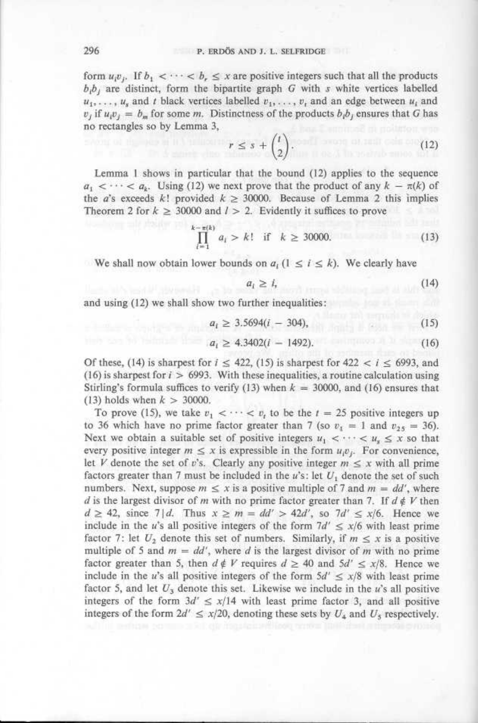form  $u_i v_i$ . If  $b_1 < \cdots < b_r \leq x$  are positive integers such that all the products  $b_i b_j$  are distinct, form the bipartite graph G with s white vertices labelled form  $u_i v_j$ . If  $b_1 < \cdots < b_r \le x$  are positive integers such that all the products  $b_i b_j$  are distinct, form the bipartite graph G with s white vertices labelled  $u_1, \ldots, u_s$  and t black vertices labelled  $v_1, \ldots, v_t$  and a no rectangles so by Lemma 3, 296 **P.** ERDÖS AND J. L. SELFRIDGE<br>
form  $u_i v_j$ . If  $b_1 < \cdots < b_r \le x$  are positive integers such that all the products<br>  $b_i b_j$  are distinct, form the bipartite graph G with s white vertices labelled<br>  $u_1, \ldots, u_s$  and t blac

$$
r \leq s + \binom{t}{2}.
$$
 (12)

Lemma 1 shows in particular that the bound (12) applies to the sequence  $a_1 < \cdots < a_k$ . Using (12) we next prove that the product of any  $k - \pi(k)$  of the a's exceeds k! provided  $k \ge 30000$ . Because of Lemma 2 this implies Theorem 2 for  $k \geq 30000$  and  $l > 2$ . Evidently it suffices to prove

$$
\prod_{i=1}^{k-\pi(k)} a_i > k! \quad \text{if} \quad k \ge 30000. \tag{13}
$$

We shall now obtain lower bounds on  $a_i$   $(1 \le i \le k)$ . We clearly have

$$
a_i \ge i,\tag{14}
$$

and using (12) we shall show two further inequalities

$$
a_i \ge 3.5694(i - 304),\tag{15}
$$

$$
a_i \ge 4.3402(i - 1492). \tag{16}
$$

Of these, (14) is sharpest for  $i \le 422$ , (15) is sharpest for  $422 < i \le 6993$ , and (16) is sharpest for  $i > 6993$ . With these inequalities, a routine calculation using Stirling's formula suffices to verify (13) when  $k = 30000$ , and (16) ensures that (13) holds when  $k > 30000$ .

To prove (15), we take  $v_1 < \cdots < v_r$  to be the  $t = 25$  positive integers up to 36 which have no prime factor greater than 7 (so  $v_1 = 1$  and  $v_{25} = 36$ ). Next we obtain a suitable set of positive integers  $u_1 < \cdots < u_s \leq x$  so that every positive integer  $m \le x$  is expressible in the form  $u_i v_j$ . For convenience, let V denote the set of v's. Clearly any positive integer  $m \leq x$  with all prime factors greater than 7 must be included in the  $u$ 's: let  $U_1$  denote the set of such numbers. Next, suppose  $m \le x$  is a positive multiple of 7 and  $m = dd'$ , where d is the largest divisor of m with no prime factor greater than 7. If  $d \notin V$  then  $d \geq 42$ , since 7 | d. Thus  $x \geq m = dd' > 42d'$ , so 7d'  $\leq x/6$ . Hence we include in the u's all positive integers of the form  $7d' \le x/6$  with least prime factor 7: let  $U_2$  denote this set of numbers. Similarly, if  $m \leq x$  is a positive multiple of 5 and  $m = dd'$ , where d is the largest divisor of m with no prime factor greater than 5, then  $d \notin V$  requires  $d \geq 40$  and  $5d' \leq x/8$ . Hence we include in the u's all positive integers of the form  $5d' \leq x/8$  with least prime factor 5, and let  $U_3$  denote this set. Likewise we include in the u's all positive integers of the form  $3d' \leq x/14$  with least prime factor 3, and all positive integers of the form  $2d' \le x/20$ , denoting these sets by  $U_4$  and  $U_5$  respectively.

296  $\begin{array}{c}\n 296 \\
 \end{array}$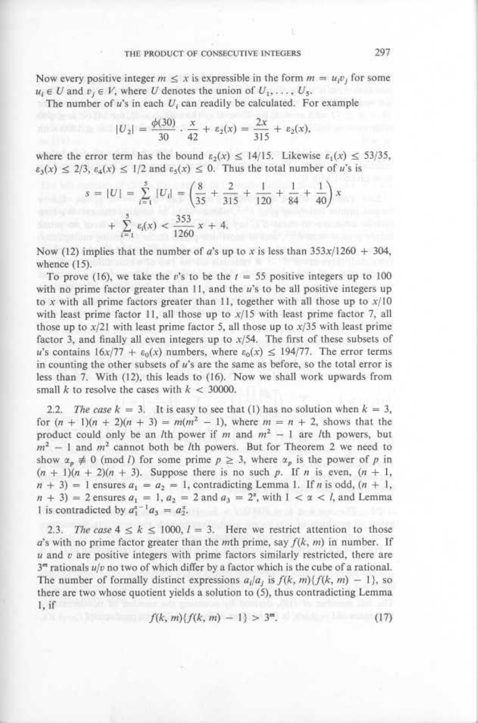Now every positive integer  $m \leq x$  is expressible in the form  $m = u_i v_j$  for some  $u_i \in U$  and  $v_i \in V$ , where U denotes the union of  $U_1, \ldots, U_5$ . 

The number of  $u$ 's in each  $U_i$  can readily be calculated. For example

$$
|U_2| = \frac{\phi(30)}{30} \cdot \frac{x}{42} + \varepsilon_2(x) = \frac{2x}{315} + \varepsilon_2(x),
$$

where the error term has the bound  $\varepsilon_2(x) \le 14/15$ . Likewise  $\varepsilon_1(x) \le 53/35$ ,  $\varepsilon_3(x) \leq 2/3$ ,  $\varepsilon_4(x) \leq 1/2$  and  $\varepsilon_5(x) \leq 0$ . Thus the total number of u's is

$$
s = |U| = \sum_{i=1}^{5} |U_i| = \left(\frac{8}{35} + \frac{2}{315} + \frac{1}{120} + \frac{1}{84} + \frac{1}{40}\right)x
$$
  
+ 
$$
\sum_{i=1}^{5} \varepsilon_i(x) < \frac{353}{1260}x + 4.
$$

Now (12) implies that the number of a's up to x is less than  $353x/1260 + 304$ , whence  $(15)$ .

To prove (16), we take the v's to be the  $t = 55$  positive integers up to 100 with no prime factor greater than 11, and the u's to be all positive integers up to x with all prime factors greater than 11, together with all those up to  $x/10$ with least prime factor 11, all those up to  $x/15$  with least prime factor 7, all those up to  $x/21$  with least prime factor 5, all those up to  $x/35$  with least prime factor 3, and finally all even integers up to  $x/54$ . The first of these subsets of u's contains  $16x/77 + \varepsilon_0(x)$  numbers, where  $\varepsilon_0(x) \le 194/77$ . The error terms in counting the other subsets of  $u$ 's are the same as before, so the total error is less than 7. With (12), this leads to (16). Now we shall work upwards from small  $k$  to resolve the cases with  $k < 30000$ .

2.2. The case  $k = 3$ . It is easy to see that (1) has no solution when  $k = 3$ , for  $(n + 1)(n + 2)(n + 3) = m(m^2 - 1)$ , where  $m = n + 2$ , shows that the product could only be an *l*th power if m and  $m<sup>2</sup> - 1$  are *l*th powers, but  $m<sup>2</sup> - 1$  and  $m<sup>2</sup>$  cannot both be *l*th powers. But for Theorem 2 we need to show  $\alpha_p \neq 0$  (mod *l*) for some prime  $p \geq 3$ , where  $\alpha_p$  is the power of p in  $(n + 1)(n + 2)(n + 3)$ . Suppose there is no such p. If n is even,  $(n + 1)$ ,  $(n + 3) = 1$  ensures  $a_1 = a_2 = 1$ , contradicting Lemma 1. If n is odd,  $(n + 1,$  $(n + 3) = 2$  ensures  $a_1 = 1$ ,  $a_2 = 2$  and  $a_3 = 2^{\alpha}$ , with  $1 < \alpha < l$ , and Lemma 1 is contradicted by  $a_1^{x-1}a_3 = a_2^x$ .

2.3. The case  $4 \le k \le 1000$ ,  $l = 3$ . Here we restrict attention to those  $a$ 's with no prime factor greater than the mth prime, say  $f(k, m)$  in number. If  $u$  and  $v$  are positive integers with prime factors similarly restricted, there are  $3<sup>m</sup>$  rationals  $u/v$  no two of which differ by a factor which is the cube of a rational. The number of formally distinct expressions  $a_i/a_j$  is  $f(k, m)\{f(k, m) - 1\}$ , so there are two whose quotient yields a solution to (5), thus contradicting Lemma 1, if

$$
f(k, m)\{f(k, m) - 1\} > 3m.
$$
 (17)

297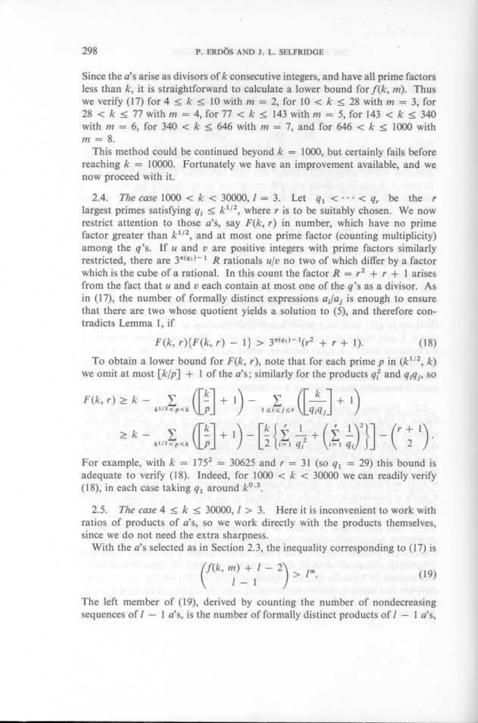Since the  $a$ 's arise as divisors of  $k$  consecutive integers, and have all prime factors less than  $k$ , it is straightforward to calculate a lower bound for  $f(k, m)$ . Thus we verify (17) for  $4 \leq k \leq 10$  with  $m = 2$ , for  $10 \leq k \leq 28$  with  $m = 3$ , for  $28 < k \le 77$  with  $m = 4$ , for  $77 < k \le 143$  with  $m = 5$ , for  $143 < k \le 340$ with  $m = 6$ , for 340 <  $k \le 646$  with  $m = 7$ , and for  $646 < k \le 1000$  with  $m = 8$ . 298<br>Since the  $a$ 's aris<br>less than  $k$ , it is

> This method could be continued beyond  $k = 1000$ , but certainly fails before reaching  $k = 10000$ . Fortunately we have an improvement available, and we now proceed with it.

2.4. The case  $1000 < k < 30000$ ,  $l = 3$ . Let  $q_1 < \cdots < q_n$  be the r largest primes satisfying  $q_i \leq k^{1/2}$ , where r is to be suitably chosen. We now restrict attention to those  $a$ 's, say  $F(k, r)$  in number, which have no prime factor greater than  $k^{1/2}$ , and at most one prime factor (counting multiplicity) among the  $q$ 's. If  $u$  and  $v$  are positive integers with prime factors similarly restricted, there are  $3^{*(q_1)-1}$  R rationals  $u/v$  no two of which differ by a factor which is the cube of a rational. In this count the factor  $R = r^2 + r + 1$  arises from the fact that  $u$  and  $v$  each contain at most one of the  $q$ 's as a divisor. As in (17), the number of formally distinct expressions  $a_i/a_j$  is enough to ensure that there are two whose quotient yields a solution to (5), and therefore contradicts Lemma 1, if 298<br> **P.** ERDÖS AND J. L. SELFRIDGE<br>
Time the *a*'s arise as divisors of *k* consecutive integers, and have all prime factors<br>
less than *k*, it is straightforward to calculate a lower bound for  $f(k, m)$ . Thus<br>
we write  $($ 

$$
F(k, r)\{F(k, r) - 1\} > 3^{\pi(q_1) - 1}(r^2 + r + 1). \tag{18}
$$

To obtain a lower bound for  $F(k, r)$ , note that for each prime p in  $(k^{1/2}, k)$ we omit at most  $\lfloor k/p \rfloor + 1$  of the *a*'s; similarly for the products  $q_i^2$  and  $q_iq_j$ , so

$$
F(k, r) \ge k - \sum_{k^{1/2} \le p \le k} \left( \frac{k}{p} \right] + 1 \right) - \sum_{1 \le i \le j \le r} \left( \frac{k}{q_i q_j} \right] + 1
$$
  

$$
\ge k - \sum_{k^{1/2} \le p \le k} \left( \frac{k}{p} \right] + 1 \right) - \left[ \frac{k}{2} \left\{ \sum_{i=1}^r \frac{1}{q_i^2} + \left( \sum_{i=1}^r \frac{1}{q_i} \right)^2 \right\} \right] - {r + 1 \choose 2}.
$$

For example, with  $k = 175^2 = 30625$  and  $r = 31$  (so  $q_1 = 29$ ) this bound is adequate to verify (18). Indeed, for  $1000 < k < 30000$  we can readily verify (18), in each case taking q, around  $k^{0.3}$ .

2.5. The case  $4 \le k \le 30000$ ,  $l > 3$ . Here it is inconvenient to work with ratios of products of a's, so we work directly with the products themselves, since we do not need the extra sharpness.

With the  $a$ 's selected as in Section 2.3, the inequality corresponding to  $(17)$  is

$$
\binom{f(k, m) + l - 2}{l - 1} > l^m,\tag{19}
$$

The left member of (19), derived by counting the number of nondecreasing sequences of  $I - 1$  a's, is the number of formally distinct products of  $I - 1$  a's,

298  $\begin{array}{c}\n 298\n \end{array}$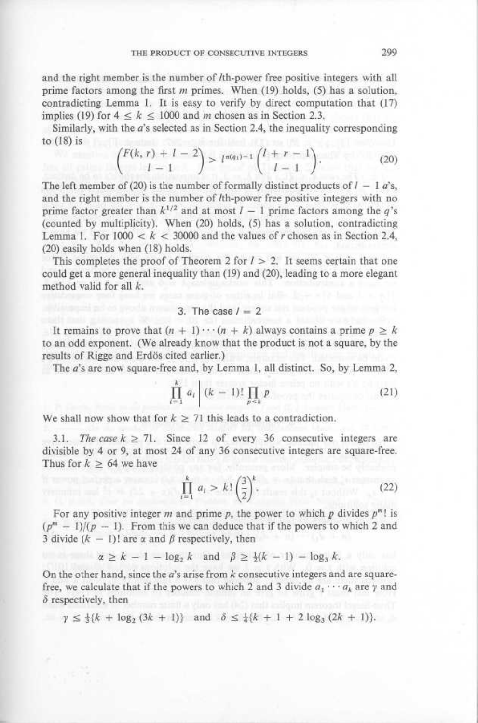and the right member is the number of lth-power free positive integers with all prime factors among the first  $m$  primes. When (19) holds, (5) has a solution, contradicting Lemma 1. It is easy to verify by direct computation that (17) implies (19) for  $4 \leq k \leq 1000$  and m chosen as in Section 2.3.

Similarly, with the a's selected as in Section 2.4, the inequality corresponding to  $(18)$  is

$$
\binom{F(k, r) + l - 2}{l - 1} > l^{\pi(q_1) - 1} \binom{l + r - 1}{l - 1}.
$$
 (20)

The left member of (20) is the number of formally distinct products of  $I - 1$  a's, and the right member is the number of lth-power free positive integers with no prime factor greater than  $k^{1/2}$  and at most  $l - 1$  prime factors among the q's (counted by multiplicity). When (20) holds, (5) has a solution, contradicting Lemma 1. For  $1000 < k < 30000$  and the values of r chosen as in Section 2.4, (20) easily holds when (18) holds.

This completes the proof of Theorem 2 for  $l > 2$ . It seems certain that one could get a more general inequality than (19) and (20), leading to a more elegant method valid for all k.

## 3. The case  $l = 2$

It remains to prove that  $(n + 1) \cdots (n + k)$  always contains a prime  $p \ge k$ to an odd exponent. (We already know that the product is not a square, by the results of Rigge and Erdös cited earlier.)

The *a*'s are now square-free and, by Lemma 1, all distinct. So, by Lemma 2,

$$
\prod_{i=1}^{k} a_i \left| (k-1)! \prod_{p \le k} p \right| \tag{21}
$$

We shall now show that for  $k \geq 71$  this leads to a contradiction.

3.1. The case  $k \ge 71$ . Since 12 of every 36 consecutive integers are divisible by 4 or 9, at most 24 of any 36 consecutive integers are square-free. Thus for  $k \geq 64$  we have

$$
\prod_{i=1}^{k} a_i > k! \left(\frac{3}{2}\right)^k. \tag{22}
$$

For any positive integer m and prime p, the power to which p divides  $p^m!$  is  $(p^m - 1)/(p - 1)$ . From this we can deduce that if the powers to which 2 and 3 divide  $(k - 1)!$  are  $\alpha$  and  $\beta$  respectively, then

$$
\alpha \geq k - 1 - \log_2 k \quad \text{and} \quad \beta \geq \frac{1}{2}(k - 1) - \log_3 k.
$$

On the other hand, since the  $a$ 's arise from  $k$  consecutive integers and are squarefree, we calculate that if the powers to which 2 and 3 divide  $a_1 \cdots a_k$  are  $\gamma$  and  $\delta$  respectively, then

$$
\gamma \leq \frac{1}{2}\{k + \log_2(3k+1)\} \quad \text{and} \quad \delta \leq \frac{1}{4}\{k+1+2\log_3(2k+1)\}.
$$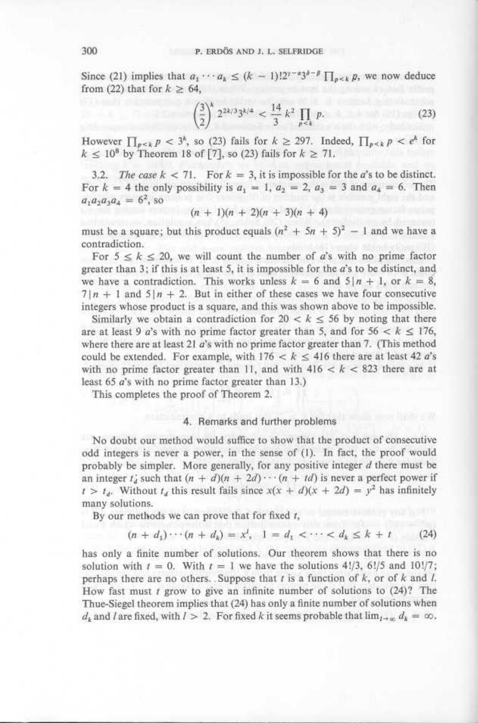Since (21) implies that  $a_1 \cdots a_k \le (k-1)! 2^{\gamma - \alpha} 3^{\delta - \beta} \prod_{p \le k} p$ , we now deduce 300 <br>P. ERDÖS AND J. L. SELFRIDO<br>Since (21) implies that  $a_1 \cdots a_k \le (k-1)! 2^{\gamma - a} 3^{\delta - 1}$ from (22) that for  $k \geq 64$ ,

$$
\left(\frac{3}{2}\right)^k 2^{2k/3} 3^{k/4} < \frac{14}{3} k^2 \prod_{p < k} p. \tag{23}
$$

However  $\prod_{p \leq k} p < 3^k$ , so (23) fails for  $k \geq 297$ . Indeed,  $\prod_{p \leq k} p < e^k$  for  $k \leq 10^8$  by Theorem 18 of [7], so (23) fails for  $k \geq 71$ .

3.2. The case  $k < 71$ . For  $k = 3$ , it is impossible for the a's to be distinct. For  $k = 4$  the only possibility is  $a_1 = 1$ ,  $a_2 = 2$ ,  $a_3 = 3$  and  $a_4 = 6$ . Then  $a_1 a_2 a_3 a_4 = 6^2$ , so

 $(n + 1)(n + 2)(n + 3)(n + 4)$ 

must be a square; but this product equals  $(n^2 + 5n + 5)^2 - 1$  and we have a contradiction .

For  $5 \le k \le 20$ , we will count the number of a's with no prime factor greater than 3; if this is at least 5, it is impossible for the  $a$ 's to be distinct, and we have a contradiction. This works unless  $k = 6$  and  $5/n + 1$ , or  $k = 8$ ,  $7 | n + 1$  and  $5 | n + 2$ . But in either of these cases we have four consecutive integers whose product is a square, and this was shown above to be impossible .

Similarly we obtain a contradiction for  $20 < k \leq 56$  by noting that there are at least 9 a's with no prime factor greater than 5, and for  $56 < k \leq 176$ , where there are at least 21  $a$ 's with no prime factor greater than 7. (This method could be extended. For example, with  $176 < k \le 416$  there are at least 42 a's with no prime factor greater than 11, and with  $416 < k < 823$  there are at least 65 a's with no prime factor greater than 13 .)

This completes the proof of Theorem 2.

## 4. Remarks and further problems

No doubt our method would suffice to show that the product of consecutive odd integers is never a power, in the sense of (1). In fact, the proof would probably be simpler. More generally, for any positive integer  $d$  there must be an integer  $t_a$  such that  $(n + d)(n + 2d) \cdots (n + td)$  is never a perfect power if  $t > t_d$ . Without  $t_d$  this result fails since  $x(x + d)(x + 2d) = y^2$  has infinitely many solutions.

By our methods we can prove that for fixed t,

$$
(n + d_1) \cdots (n + d_k) = x^l, \quad 1 = d_1 < \cdots < d_k \leq k + t \tag{24}
$$

has only a finite number of solutions. Our theorem shows that there is no solution with  $t = 0$ . With  $t = 1$  we have the solutions 4!/3, 6!/5 and 10!/7; perhaps there are no others. Suppose that  $t$  is a function of  $k$ , or of  $k$  and  $l$ . How fast must  $t$  grow to give an infinite number of solutions to  $(24)$ ? The Thue-Siegel theorem implies that (24) has only a finite number of solutions when  $d_k$  and I are fixed, with  $l > 2$ . For fixed k it seems probable that  $\lim_{l \to \infty} d_k = \infty$ .

300  $\begin{array}{c}\n 300 \\
 \end{array}$